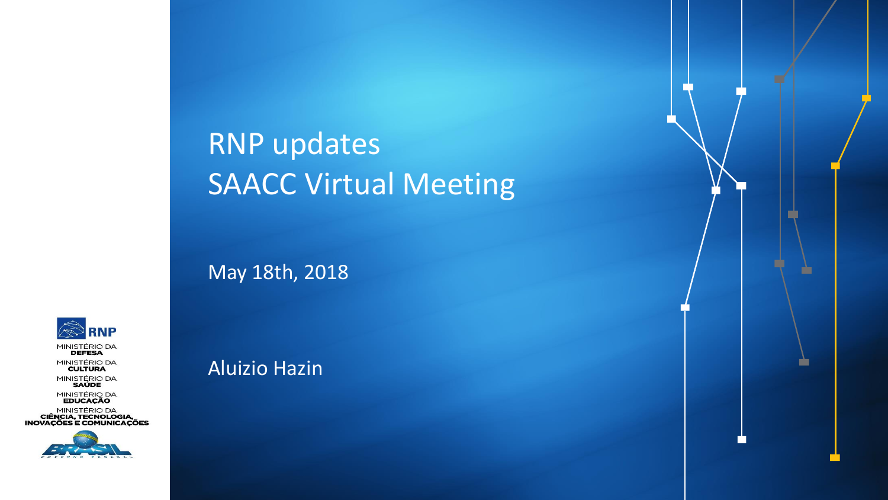# RNP updates SAACC Virtual Meeting

n in 1919.<br>Bernard Street of Street in 1919.<br>Bernard Street in 1919.

m

May 18th, 2018

Aluizio Hazin



MINISTÉRIO DA<br>**DEFESA MINISTÉRIO DA**<br>CULTURA

MINISTÉRIO DA<br>SAÚDE

MINISTÉRIO DA<br>**EDUCAÇÃO** 

MINISTÉRIO DA<br>**CIÊNCIA, TECNOLOGIA,<br>INOVAÇÕES E COMUNICAÇÕES** 

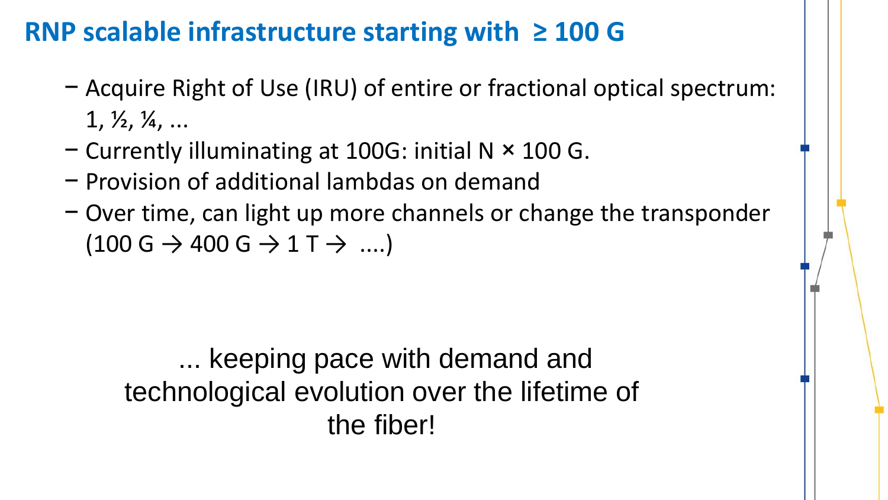### **RNP scalable infrastructure starting with ≥ 100 G**

- − Acquire Right of Use (IRU) of entire or fractional optical spectrum:  $1, \frac{1}{2}, \frac{1}{4}, \ldots$
- − Currently illuminating at 100G: initial N × 100 G.
- − Provision of additional lambdas on demand
- − Over time, can light up more channels or change the transponder  $(100 \text{ G} \rightarrow 400 \text{ G} \rightarrow 1 \text{ T} \rightarrow \text{...})$

... keeping pace with demand and technological evolution over the lifetime of the fiber!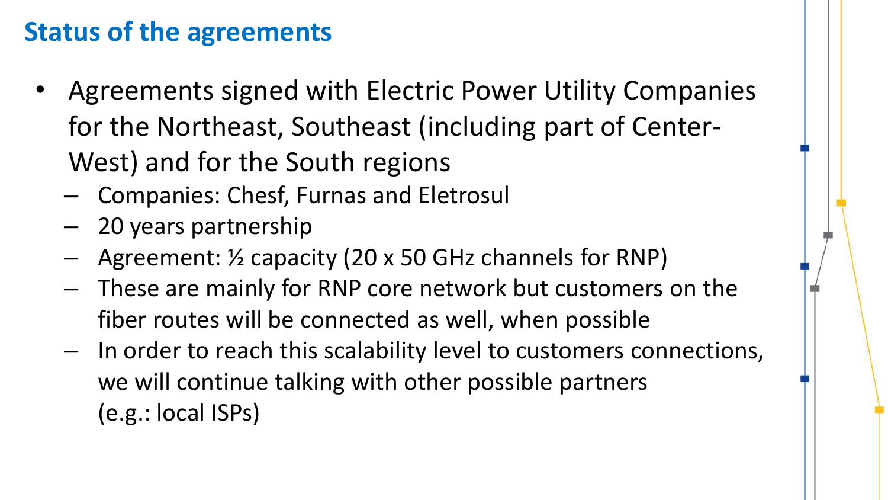### **Status of the agreements**

- Agreements signed with Electric Power Utility Companies for the Northeast, Southeast (including part of Center-West) and for the South regions
	- Companies: Chesf, Furnas and Eletrosul
	- 20 years partnership
	- Agreement: 1/2 capacity (20 x 50 GHz channels for RNP)
	- These are mainly for RNP core network but customers on the fiber routes will be connected as well, when possible
	- In order to reach this scalability level to customers connections, we will continue talking with other possible partners (e.g.: local ISPs)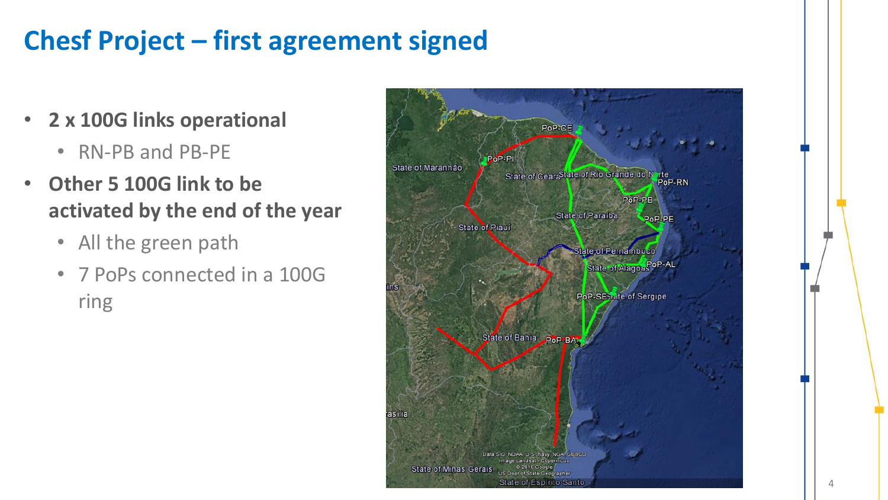# **Chesf Project – first agreement signed**

- **2 x 100G links operational**
	- RN-PB and PB-PE
- **Other 5 100G link to be activated by the end of the year**
	- All the green path
	- 7 PoPs connected in a 100G ring

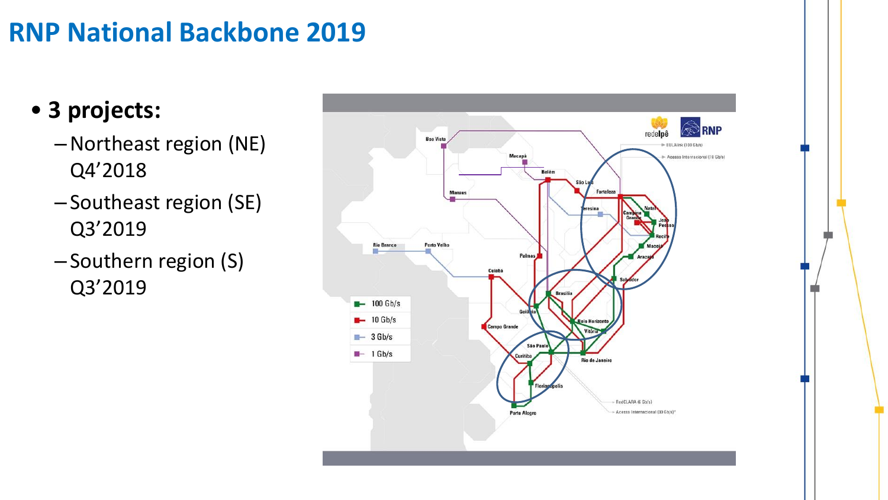### **RNP National Backbone 2019**

### • **3 projects:**

- –Northeast region (NE) Q4'2018
- Southeast region (SE) Q3'2019
- Southern region (S) Q3'2019

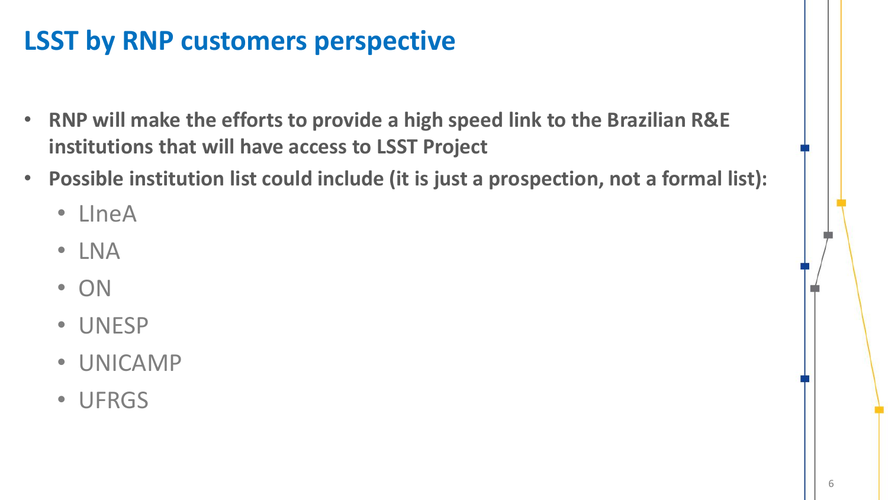# **LSST by RNP customers perspective**

- **RNP will make the efforts to provide a high speed link to the Brazilian R&E institutions that will have access to LSST Project**
- **Possible institution list could include (it is just a prospection, not a formal list):**
	- LIneA
	- LNA
	- ON
	- UNESP
	- UNICAMP
	- UFRGS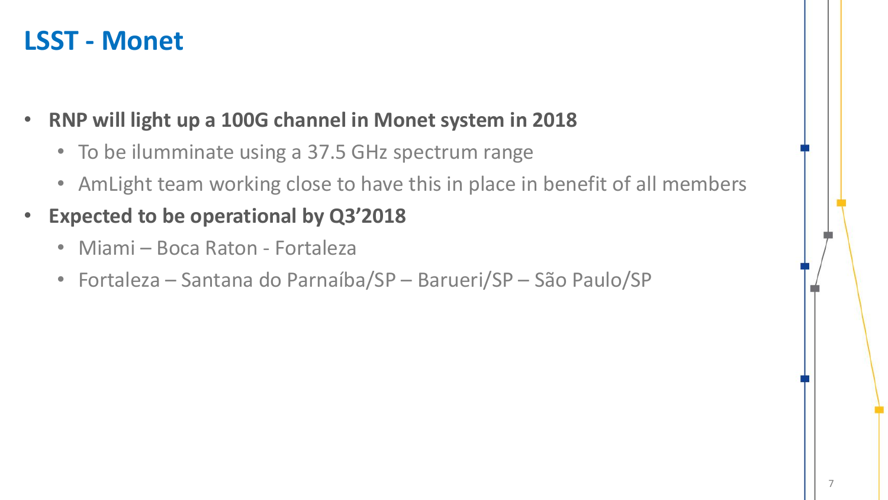#### **LSST - Monet**

- **RNP will light up a 100G channel in Monet system in 2018**
	- To be ilumminate using a 37.5 GHz spectrum range
	- AmLight team working close to have this in place in benefit of all members
- **Expected to be operational by Q3'2018**
	- Miami Boca Raton Fortaleza
	- Fortaleza Santana do Parnaíba/SP Barueri/SP São Paulo/SP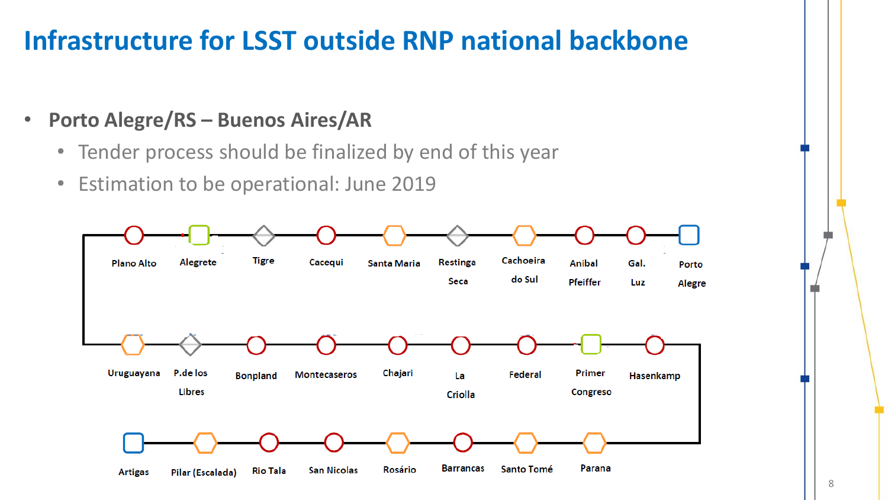### **Infrastructure for LSST outside RNP national backbone**

- **Porto Alegre/RS – Buenos Aires/AR**
	- Tender process should be finalized by end of this year
	- Estimation to be operational: June 2019

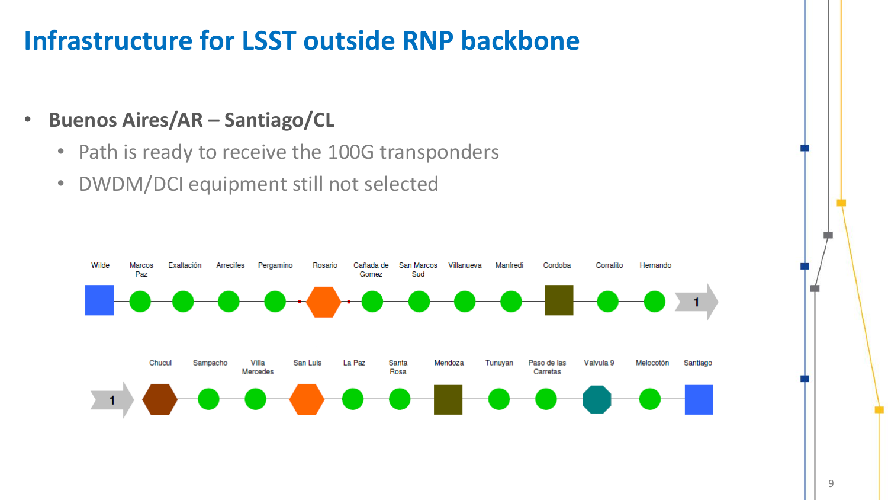### **Infrastructure for LSST outside RNP backbone**

- **Buenos Aires/AR – Santiago/CL**
	- Path is ready to receive the 100G transponders
	- DWDM/DCI equipment still not selected

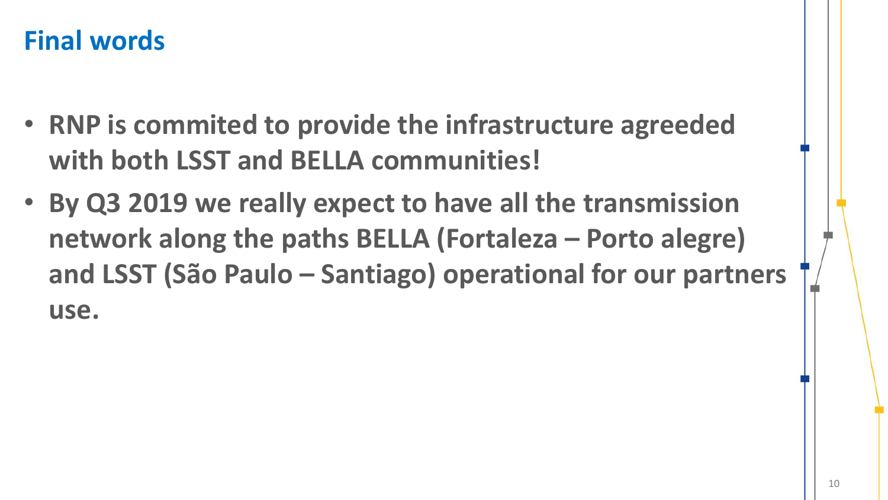#### **Final words**

- **RNP is commited to provide the infrastructure agreeded with both LSST and BELLA communities!**
- **By Q3 2019 we really expect to have all the transmission network along the paths BELLA (Fortaleza – Porto alegre) and LSST (São Paulo – Santiago) operational for our partners use.**